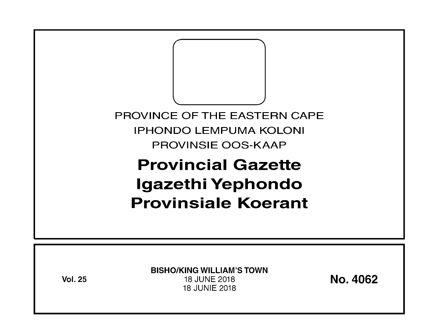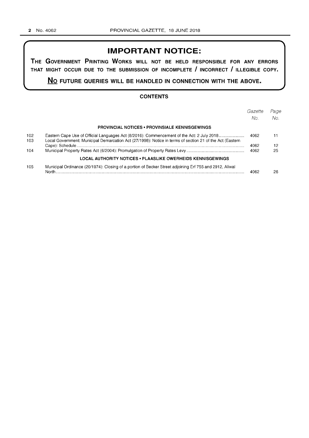# **IMPORTANT NOTICE:**

**THE GOVERNMENT PRINTING WORKS WILL NOT BE HELD RESPONSIBLE FOR ANY ERRORS THAT MIGHT OCCUR DUE TO THE SUBMISSION OF INCOMPLETE I INCORRECT I ILLEGIBLE COPY.** 

**No FUTURE QUERIES WILL BE HANDLED IN CONNECTION WITH THE ABOVE.** 

### **CONTENTS**

|            |                                                                                                                                                                                                        | Gazette | Page |
|------------|--------------------------------------------------------------------------------------------------------------------------------------------------------------------------------------------------------|---------|------|
|            |                                                                                                                                                                                                        | No.     | No.  |
|            | <b>PROVINCIAL NOTICES • PROVINSIALE KENNISGEWINGS</b>                                                                                                                                                  |         |      |
| 102<br>103 | Eastern Cape Use of Official Languages Act (8/2016): Commencement of the Act: 2 July 2018<br>Local Government: Municipal Demarcation Act (27/1998): Notice in terms of section 21 of the Act (Eastern) | 4062    | 11   |
|            |                                                                                                                                                                                                        | 4062    | 12   |
| 104        |                                                                                                                                                                                                        | 4062    | 25   |
|            | LOCAL AUTHORITY NOTICES • PLAASLIKE OWERHEIDS KENNISGEWINGS                                                                                                                                            |         |      |
| 105        | Municipal Ordinance (20/1974): Closing of a portion of Becker Street adjoining Erf 755 and 2912, Aliwal                                                                                                | 4062    | 26   |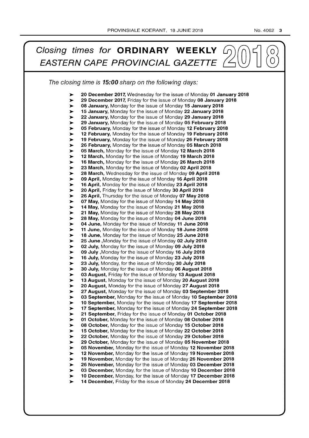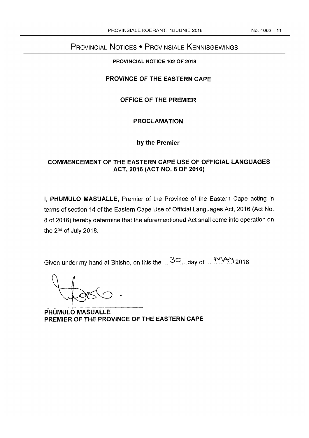# PROVINCIAL NOTICES • PROVINSIALE KENNISGEWINGS

## **PROVINCIAL NOTICE 102 OF 2018**

## **PROVINCE OF THE EASTERN CAPE**

## **OFFICE OF THE PREMIER**

## **PROCLAMATION**

## **by the Premier**

## **COMMENCEMENT OF THE EASTERN CAPE USE OF OFFICIAL LANGUAGES ACT, 2016 (ACT NO.8 OF 2016)**

I, **PHUMULO MASUALLE,** Premier of the Province of the Eastern Cape acting in terms of section 14 of the Eastern Cape Use of Official Languages Act, 2016 (Act No. 8 of 2016) hereby determine that the aforementioned Act shall come into operation on the 2<sup>nd</sup> of July 2018.

Given under my hand at Bhisho, on this the .... ~? ... day of .... ~~J 2018

**PHUMULO MASUALLE PREMIER OF THE PROVINCE OF THE EASTERN CAPE**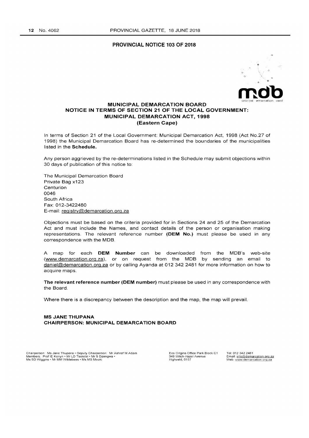#### PROVINCIAL NOTICE 103 OF 2018



### MUNICIPAL DEMARCATION BOARD NOTICE IN TERMS OF SECTION 21 OF THE LOCAL GOVERNMENT: MUNICIPAL DEMARCATION ACT, 1998 (Eastern Cape)

In terms of Section 21 of the Local Government: Municipal Demarcation Act, 1998 (Act No.2? of 1998) the Municipal Demarcation Board has re-determined the boundaries of the municipalities listed in the Schedule.

Any person aggrieved by the re-determinations listed in the Schedule may submit objections within 30 days of publication of this notice to:

The Municipal Demarcation Board Private Bag x123 Centurion 0046 South Africa Fax: 012-3422480 E-mail: registry@demarcation.org.za

Objections must be based on the criteria provided for in Sections 24 and 25 of the Demarcation Act and must include the Names, and contact details of the person or organisation making representations. The relevant reference number (DEM No.) must please be used in any correspondence with the MOB.

A map for each OEM Number can be downloaded from the MOB's web-site (www.demarcation.org.za). or on request from the MOB by sending an email to daniel@demarcation.org.za or by calling Ayanda at 012 342 2481 for more information on how to acquire maps.

The relevant reference number (DEM number) must please be used in any correspondence with the Board.

Where there is a discrepancy between the description and the map, the map will prevail.

MS JANE THUPANA CHAIRPERSON: MUNICIPAL DEMARCATION BOARD

Chairperson: Ms Jane Thupana • Deputy Chairperson: Mr Ashraf M Adam<br>Members: Prof IE Konyn • Mr LD Tsotetsi • Mr S Dzengwa •<br>Ms SD Wiggins • Mr MM Wildebees • Ms MS Mooki

Eco Origins Office Park Block C1<br>349 Witch-Hazel Avenue<br>Highveld, 0157

Tel: 012 342 2481<br>Email: <u>info@demarcation.org.za</u> Web: www.demarcation.org.za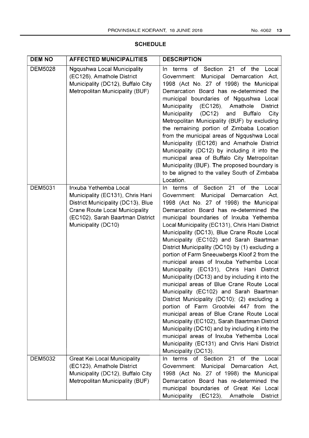## **SCHEDULE**

| <b>DEM NO</b>  | <b>AFFECTED MUNICIPALITIES</b>                                                                                                                                                                      | <b>DESCRIPTION</b>                                                                                                                                                                                                                                                                                                                                                                                                                                                                                                                                                                                                                                                                                                                                                                                                                                                                                                                                                                                                                                                                |
|----------------|-----------------------------------------------------------------------------------------------------------------------------------------------------------------------------------------------------|-----------------------------------------------------------------------------------------------------------------------------------------------------------------------------------------------------------------------------------------------------------------------------------------------------------------------------------------------------------------------------------------------------------------------------------------------------------------------------------------------------------------------------------------------------------------------------------------------------------------------------------------------------------------------------------------------------------------------------------------------------------------------------------------------------------------------------------------------------------------------------------------------------------------------------------------------------------------------------------------------------------------------------------------------------------------------------------|
| <b>DEM5028</b> | <b>Ngqushwa Local Municipality</b><br>(EC126), Amathole District<br>Municipality (DC12), Buffalo City<br>Metropolitan Municipality (BUF)                                                            | of Section<br>21<br>of the<br>terms<br>Local<br>In.<br>Government: Municipal Demarcation Act,<br>1998 (Act No. 27 of 1998) the Municipal<br>Demarcation Board has re-determined the<br>municipal boundaries of Ngqushwa Local<br>Municipality (EC126), Amathole<br><b>District</b><br>Municipality<br>(DC12)<br>and<br><b>Buffalo</b><br>City<br>Metropolitan Municipality (BUF) by excluding<br>the remaining portion of Zimbaba Location<br>from the municipal areas of Ngqushwa Local<br>Municipality (EC126) and Amathole District<br>Municipality (DC12) by including it into the<br>municipal area of Buffalo City Metropolitan<br>Municipality (BUF). The proposed boundary is<br>to be aligned to the valley South of Zimbaba<br>Location.                                                                                                                                                                                                                                                                                                                                |
| <b>DEM5031</b> | Inxuba Yethemba Local<br>Municipality (EC131), Chris Hani<br>District Municipality (DC13), Blue<br><b>Crane Route Local Municipality</b><br>(EC102), Sarah Baartman District<br>Municipality (DC10) | of Section 21<br>terms<br>of the<br>Local<br>In.<br>Government: Municipal Demarcation Act,<br>1998 (Act No. 27 of 1998) the Municipal<br>Demarcation Board has re-determined the<br>municipal boundaries of Inxuba Yethemba<br>Local Municipality (EC131), Chris Hani District<br>Municipality (DC13), Blue Crane Route Local<br>Municipality (EC102) and Sarah Baartman<br>District Municipality (DC10) by (1) excluding a<br>portion of Farm Sneeuwbergs Kloof 2 from the<br>municipal areas of Inxuba Yethemba Local<br>Municipality (EC131), Chris Hani District<br>Municipality (DC13) and by including it into the<br>municipal areas of Blue Crane Route Local<br>Municipality (EC102) and Sarah Baartman<br>District Municipality (DC10); (2) excluding a<br>portion of Farm Grootvlei 447 from the<br>municipal areas of Blue Crane Route Local<br>Municipality (EC102), Sarah Baartman District<br>Municipality (DC10) and by including it into the<br>municipal areas of Inxuba Yethemba Local<br>Municipality (EC131) and Chris Hani District<br>Municipality (DC13). |
| <b>DEM5032</b> | <b>Great Kei Local Municipality</b><br>(EC123), Amathole District<br>Municipality (DC12), Buffalo City<br>Metropolitan Municipality (BUF)                                                           | terms of Section 21 of the<br>Local<br>In.<br>Government: Municipal Demarcation Act,<br>1998 (Act No. 27 of 1998) the Municipal<br>Demarcation Board has re-determined the<br>municipal boundaries of Great Kei Local<br>Municipality<br>(EC123),<br>Amathole<br>District                                                                                                                                                                                                                                                                                                                                                                                                                                                                                                                                                                                                                                                                                                                                                                                                         |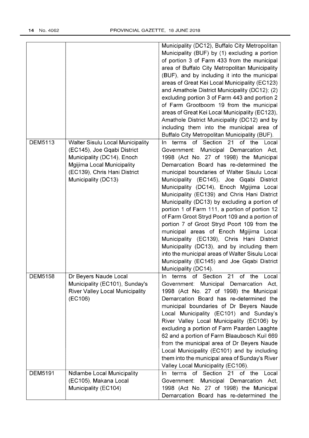|                |                                                                        | Municipality (DC12), Buffalo City Metropolitan                              |
|----------------|------------------------------------------------------------------------|-----------------------------------------------------------------------------|
|                |                                                                        | Municipality (BUF) by (1) excluding a portion                               |
|                |                                                                        | of portion 3 of Farm 433 from the municipal                                 |
|                |                                                                        | area of Buffalo City Metropolitan Municipality                              |
|                |                                                                        | (BUF), and by including it into the municipal                               |
|                |                                                                        | areas of Great Kei Local Municipality (EC123)                               |
|                |                                                                        | and Amathole District Municipality (DC12); (2)                              |
|                |                                                                        | excluding portion 3 of Farm 443 and portion 2                               |
|                |                                                                        | of Farm Grootboom 19 from the municipal                                     |
|                |                                                                        | areas of Great Kei Local Municipality (EC123),                              |
|                |                                                                        | Amathole District Municipality (DC12) and by                                |
|                |                                                                        | including them into the municipal area of                                   |
|                |                                                                        |                                                                             |
| <b>DEM5113</b> |                                                                        | Buffalo City Metropolitan Municipality (BUF).<br>of the<br>of Section<br>21 |
|                | <b>Walter Sisulu Local Municipality</b><br>(EC145), Joe Gqabi District | terms<br>Local<br>In.<br>Municipal Demarcation Act,<br>Government:          |
|                |                                                                        |                                                                             |
|                | Municipality (DC14), Enoch                                             | 1998 (Act No. 27 of 1998) the Municipal                                     |
|                | Mgijima Local Municipality                                             | Demarcation Board has re-determined the                                     |
|                | (EC139), Chris Hani District                                           | municipal boundaries of Walter Sisulu Local                                 |
|                | Municipality (DC13)                                                    | Municipality (EC145), Joe Gqabi District                                    |
|                |                                                                        | Municipality (DC14), Enoch Mgijima Local                                    |
|                |                                                                        | Municipality (EC139) and Chris Hani District                                |
|                |                                                                        | Municipality (DC13) by excluding a portion of                               |
|                |                                                                        | portion 1 of Farm 111, a portion of portion 12                              |
|                |                                                                        | of Farm Groot Stryd Poort 109 and a portion of                              |
|                |                                                                        | portion 7 of Groot Stryd Poort 109 from the                                 |
|                |                                                                        | municipal areas of Enoch Mgijima Local                                      |
|                |                                                                        | Municipality (EC139), Chris Hani District                                   |
|                |                                                                        | Municipality (DC13), and by including them                                  |
|                |                                                                        | into the municipal areas of Walter Sisulu Local                             |
|                |                                                                        | Municipality (EC145) and Joe Gqabi District                                 |
|                |                                                                        | Municipality (DC14).                                                        |
| DEM5158        | Dr Beyers Naude Local                                                  | terms<br>of Section 21 of the<br>Local<br>In.                               |
|                | Municipality (EC101), Sunday's                                         | Municipal Demarcation Act,<br>Government:                                   |
|                | <b>River Valley Local Municipality</b>                                 | 1998 (Act No. 27 of 1998) the Municipal                                     |
|                | (EC106)                                                                | Demarcation Board has re-determined the                                     |
|                |                                                                        | municipal boundaries of Dr Beyers Naude                                     |
|                |                                                                        | Local Municipality (EC101) and Sunday's                                     |
|                |                                                                        | River Valley Local Municipality (EC106) by                                  |
|                |                                                                        | excluding a portion of Farm Paarden Laaghte                                 |
|                |                                                                        | 62 and a portion of Farm Blaaubosch Kuil 669                                |
|                |                                                                        | from the municipal area of Dr Beyers Naude                                  |
|                |                                                                        | Local Municipality (EC101) and by including                                 |
|                |                                                                        | them into the municipal area of Sunday's River                              |
|                |                                                                        | Valley Local Municipality (EC106).                                          |
| <b>DEM5191</b> | <b>Ndlambe Local Municipality</b>                                      | In terms of Section<br>21<br>of the<br>Local                                |
|                | (EC105), Makana Local                                                  | Municipal Demarcation Act,<br>Government:                                   |
|                | Municipality (EC104)                                                   | 1998 (Act No. 27 of 1998) the Municipal                                     |
|                |                                                                        | Demarcation Board has re-determined the                                     |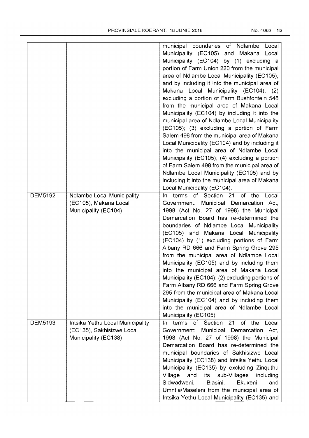|                |                                   | municipal boundaries of Ndlambe Local                  |
|----------------|-----------------------------------|--------------------------------------------------------|
|                |                                   | Municipality (EC105) and Makana<br>Local               |
|                |                                   | Municipality (EC104) by (1) excluding a                |
|                |                                   |                                                        |
|                |                                   | portion of Farm Union 220 from the municipal           |
|                |                                   | area of Ndlambe Local Municipality (EC105),            |
|                |                                   | and by including it into the municipal area of         |
|                |                                   | Makana Local Municipality (EC104); (2)                 |
|                |                                   | excluding a portion of Farm Bushfontein 548            |
|                |                                   | from the municipal area of Makana Local                |
|                |                                   | Municipality (EC104) by including it into the          |
|                |                                   | municipal area of Ndlambe Local Municipality           |
|                |                                   | (EC105); (3) excluding a portion of Farm               |
|                |                                   | Salem 498 from the municipal area of Makana            |
|                |                                   | Local Municipality (EC104) and by including it         |
|                |                                   | into the municipal area of Ndlambe Local               |
|                |                                   | Municipality (EC105); (4) excluding a portion          |
|                |                                   | of Farm Salem 498 from the municipal area of           |
|                |                                   | Ndlambe Local Municipality (EC105) and by              |
|                |                                   | including it into the municipal area of Makana         |
|                |                                   | Local Municipality (EC104).                            |
| <b>DEM5192</b> | <b>Ndlambe Local Municipality</b> | In terms of Section 21 of the<br>Local                 |
|                | (EC105), Makana Local             | Government: Municipal Demarcation Act,                 |
|                | Municipality (EC104)              | 1998 (Act No. 27 of 1998) the Municipal                |
|                |                                   | Demarcation Board has re-determined the                |
|                |                                   | boundaries of Ndlambe Local Municipality               |
|                |                                   | (EC105) and Makana Local Municipality                  |
|                |                                   | (EC104) by (1) excluding portions of Farm              |
|                |                                   | Albany RD 666 and Farm Spring Grove 295                |
|                |                                   | from the municipal area of Ndlambe Local               |
|                |                                   | Municipality (EC105) and by including them             |
|                |                                   | into the municipal area of Makana Local                |
|                |                                   | Municipality (EC104); (2) excluding portions of        |
|                |                                   | Farm Albany RD 666 and Farm Spring Grove               |
|                |                                   | 295 from the municipal area of Makana Local            |
|                |                                   | Municipality (EC104) and by including them             |
|                |                                   | into the municipal area of Ndlambe Local               |
|                |                                   | Municipality (EC105).                                  |
| DEM5193        | Intsika Yethu Local Municipality  | of Section<br>of<br>terms<br>21<br>the<br>Local<br>In. |
|                | (EC135), Sakhisizwe Local         | Government: Municipal Demarcation Act,                 |
|                | Municipality (EC138)              | 1998 (Act No. 27 of 1998) the Municipal                |
|                |                                   | Demarcation Board has re-determined the                |
|                |                                   | municipal boundaries of Sakhisizwe Local               |
|                |                                   | Municipality (EC138) and Intsika Yethu Local           |
|                |                                   |                                                        |
|                |                                   | Municipality (EC135) by excluding Zinquthu             |
|                |                                   | Village<br>and<br>sub-Villages<br>its<br>including     |
|                |                                   | Sidwadweni,<br>Blasini,<br>Ekuxeni<br>and              |
|                |                                   | Umntla/Maseleni from the municipal area of             |
|                |                                   | Intsika Yethu Local Municipality (EC135) and           |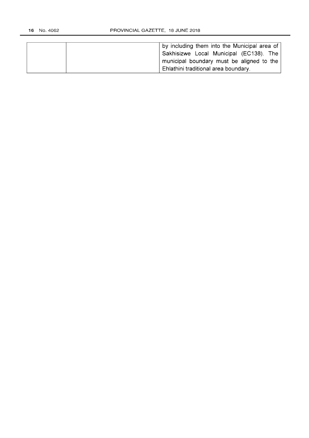| by including them into the Municipal area of |  |
|----------------------------------------------|--|
| Sakhisizwe Local Municipal (EC138). The      |  |
| municipal boundary must be aligned to the    |  |
| Ehlathini traditional area boundary.         |  |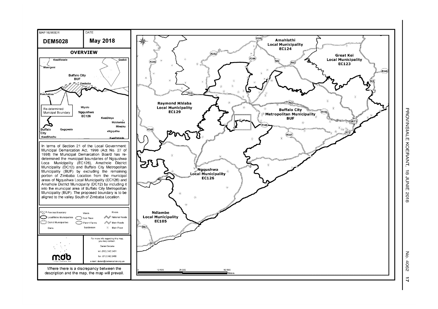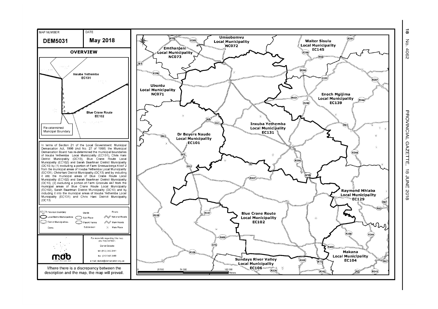0) z o 4062

...

]<br>፱ NCIAL GAZETTE, 8 IOZ 3NO 6

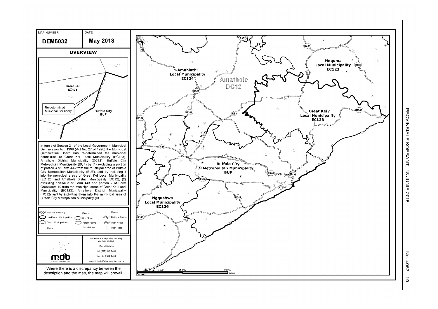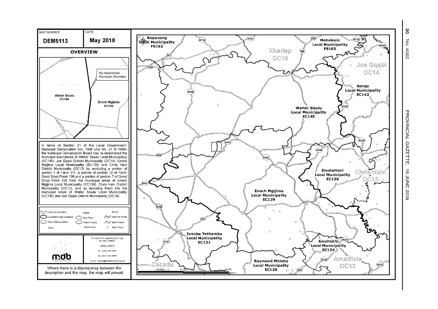**zo**  $\overline{5}$  $-4062$ 

<u>ን</u> NCIAL GAZETTE **BUNE** 2018

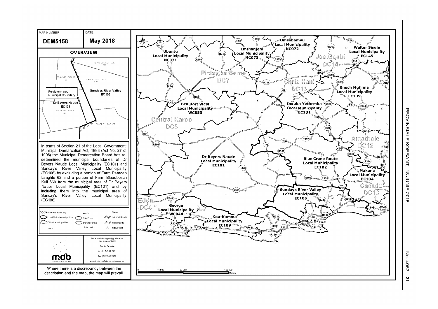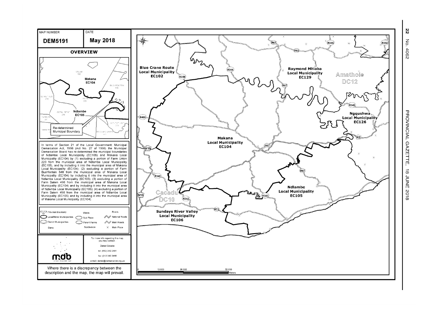ષ્ટ\ z o 4062

> <u>ቻ</u> NCIAL GAZETTE, 8 IOZ 3NN° 8

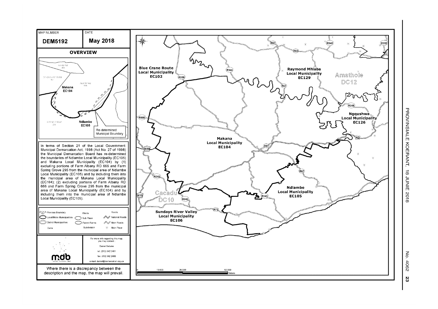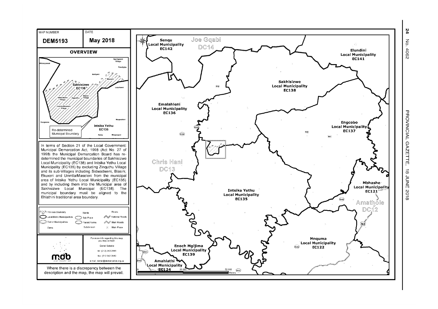

.<br>4 No. 4062

> ]<br>፱ NCIAL GAZETTE, 8 IOZ 3NN° 8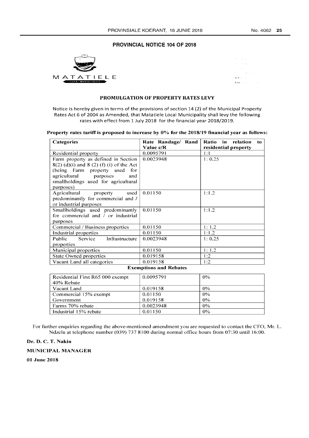### **PROVINCIAL NOTICE 104 OF 2018**



|                             |                      | the control of the season  |
|-----------------------------|----------------------|----------------------------|
| many of the Se              |                      |                            |
|                             | contract and a state |                            |
| the control for the control |                      |                            |
|                             |                      | Parkers and a committee of |
|                             |                      | Fox: Charles County        |

#### **PROMULGATION OF PROPERTY RATES LEVY**

Notice is hereby given in terms of the provisions of section 14 (2) of the Municipal Property Rates Act 6 of 2004 as Amended, that Matatiele Local Municipality shall levy the following rates with effect from 1 July 2018 for the financial year 2018/2019.

#### Property rates tariff is proposed to increase by 0% for the 2018/19 financial year as follows:

| Categories                                                                                                                                                                                              | Rate Randage/ Rand<br>Value c/R             | Ratio in relation<br>to<br>residential property |
|---------------------------------------------------------------------------------------------------------------------------------------------------------------------------------------------------------|---------------------------------------------|-------------------------------------------------|
| Residential property                                                                                                                                                                                    | 0.0095791                                   | 1:1                                             |
| Farm property as defined in Section<br>$8(2)$ (d)(i) and $8(2)$ (f) (i) of the Act<br>(being Farm property used for<br>agricultural purposes<br>and<br>smallholdings used for agricultural<br>purposes) | 0.0023948                                   | 1:0.25                                          |
| Agricultural property<br>used<br>predominantly for commercial and /<br>or industrial purposes                                                                                                           | 0.01150                                     | 1:1.2                                           |
| Smallholdings used predominantly<br>for commercial and / or industrial<br>purposes                                                                                                                      | 0.01150                                     | 1:1.2                                           |
| Commercial / Business properties                                                                                                                                                                        | 0.01150                                     | 1:1.2                                           |
| Industrial properties                                                                                                                                                                                   | 0.01150                                     | 1:1.2                                           |
| Service Infrastructure<br>Public<br>properties                                                                                                                                                          | 0.0023948                                   | 1:0.25                                          |
| Municipal properties                                                                                                                                                                                    | 0.01150                                     | 1:1.2                                           |
| <b>State Owned properties</b>                                                                                                                                                                           | 0.019158                                    | 1:2                                             |
| Vacant Land all categories                                                                                                                                                                              | 0.019158<br>December 2000 and 2000 Delayers | 1:2                                             |

#### **Exemptions and Rebates**

| Residential First R65 000 exempt | 0.0095791 | $0\%$ |
|----------------------------------|-----------|-------|
| 40% Rebate                       |           |       |
| Vacant Land                      | 0.019158  | $0\%$ |
| Commercial 15% exempt            | 0.01150   | $0\%$ |
| Government                       | 0.019158  | 0%    |
| Farms 70% rebate                 | 0.0023948 | $0\%$ |
| Industrial 15% rebate            | 0.01150   | $0\%$ |

For further enquiries regarding the above-mentioned amendment you are requested to contact the CFO, Mr. L. Ndzelu at telephone number (039) 737 8100 during normal office hours from 07:30 until 16:00.

#### **Dr. D. C. T. Nakin**

**MUNICIPAL MANAGER** 

**01 June 2018**